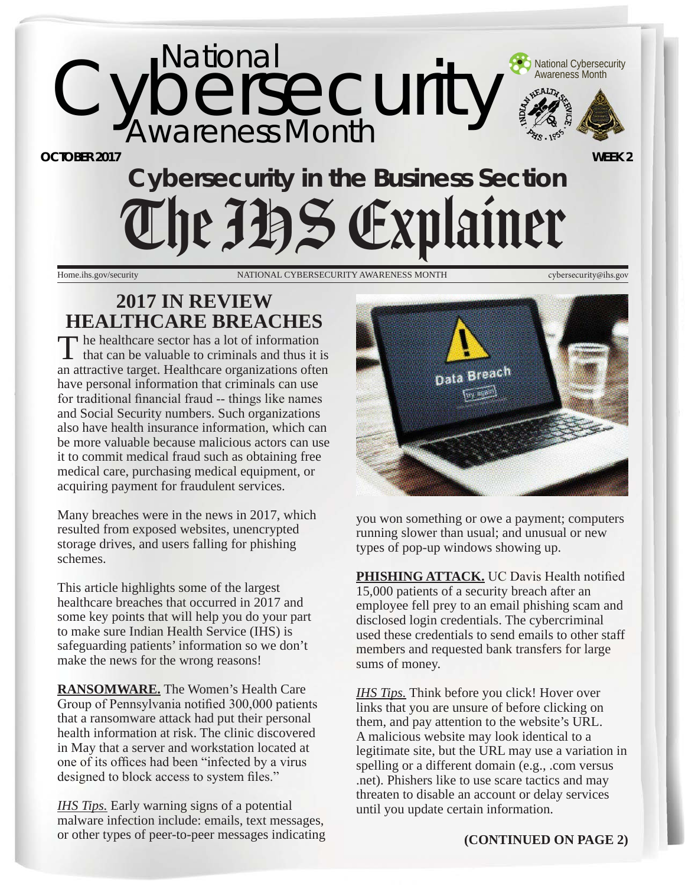

**OCTOBER 2017** 

# **Cybersecurity in the Business Section**  The JBS Explainer

Home.ihs.gov/security NATIONAL CYBERSECURITY AWARENESS MONTH cybersecurity@ihs.gov

## **2017 IN REVIEW HEALTHCARE BREACHES**

The healthcare sector has a lot of information  $\mathbf{I}$  that can be valuable to criminals and thus it is an attractive target. Healthcare organizations often have personal information that criminals can use for traditional financial fraud -- things like names and Social Security numbers. Such organizations also have health insurance information, which can be more valuable because malicious actors can use it to commit medical fraud such as obtaining free medical care, purchasing medical equipment, or acquiring payment for fraudulent services.

Many breaches were in the news in 2017, which resulted from exposed websites, unencrypted storage drives, and users falling for phishing schemes.

This article highlights some of the largest healthcare breaches that occurred in 2017 and some key points that will help you do your part to make sure Indian Health Service (IHS) is safeguarding patients' information so we don't make the news for the wrong reasons!

**RANSOMWARE.** The Women's Health Care Group of Pennsylvania notified 300,000 patients that a ransomware attack had put their personal health information at risk. The clinic discovered in May that a server and workstation located at one of its offices had been "infected by a virus" designed to block access to system files."

*IHS Tips.* Early warning signs of a potential malware infection include: emails, text messages, or other types of peer-to-peer messages indicating



you won something or owe a payment; computers running slower than usual; and unusual or new types of pop-up windows showing up.

**PHISHING ATTACK.** UC Davis Health notified 15,000 patients of a security breach after an employee fell prey to an email phishing scam and disclosed login credentials. The cybercriminal used these credentials to send emails to other staff members and requested bank transfers for large sums of money.

*IHS Tips.* Think before you click! Hover over links that you are unsure of before clicking on them, and pay attention to the website's URL. A malicious website may look identical to a legitimate site, but the URL may use a variation in spelling or a different domain (e.g., .com versus .net). Phishers like to use scare tactics and may threaten to disable an account or delay services until you update certain information.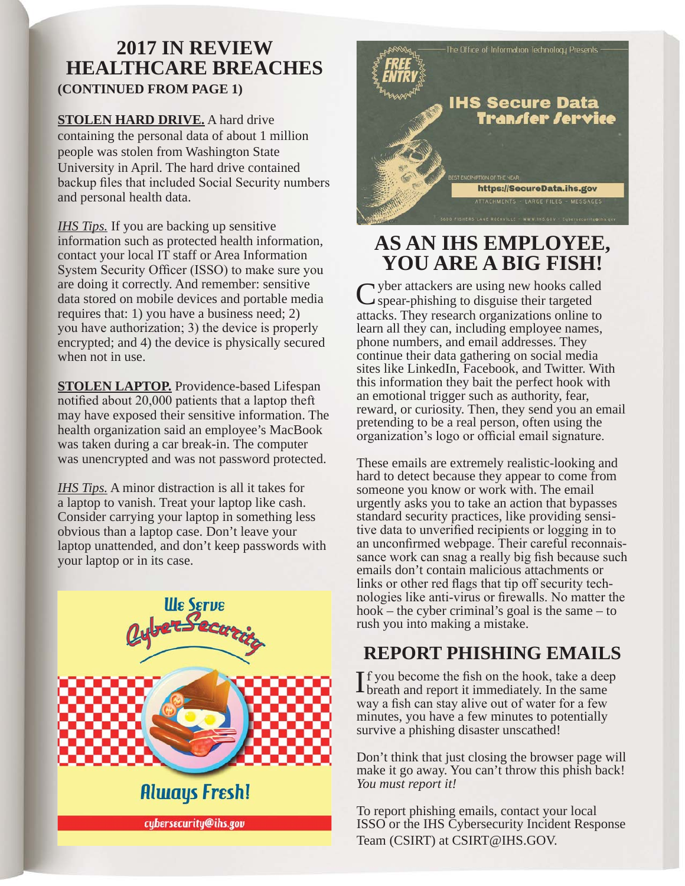## **2017 IN REVIEW HEALTHCARE BREACHES (CONTINUED FROM PAGE 1)**

**STOLEN HARD DRIVE.** A hard drive containing the personal data of about 1 million people was stolen from Washington State University in April. The hard drive contained backup files that included Social Security numbers and personal health data.

*IHS Tips.* If you are backing up sensitive information such as protected health information, contact your local IT staff or Area Information System Security Officer (ISSO) to make sure you are doing it correctly. And remember: sensitive data stored on mobile devices and portable media requires that: 1) you have a business need; 2) you have authorization; 3) the device is properly encrypted; and 4) the device is physically secured when not in use.

**STOLEN LAPTOP.** Providence-based Lifespan notified about  $20,000$  patients that a laptop theft may have exposed their sensitive information. The health organization said an employee's MacBook was taken during a car break-in. The computer was unencrypted and was not password protected.

*IHS Tips.* A minor distraction is all it takes for a laptop to vanish. Treat your laptop like cash. Consider carrying your laptop in something less obvious than a laptop case. Don't leave your laptop unattended, and don't keep passwords with your laptop or in its case.



cybersecurity@ihs.gov



## **AS AN IHS EMPLOYEE, YOU ARE A BIG FISH!**

vectory attackers are using new hooks called  $\sim$  spear-phishing to disguise their targeted attacks. They research organizations online to learn all they can, including employee names, phone numbers, and email addresses. They continue their data gathering on social media sites like LinkedIn, Facebook, and Twitter. With this information they bait the perfect hook with an emotional trigger such as authority, fear, reward, or curiosity. Then, they send you an email pretending to be a real person, often using the organization's logo or official email signature.

These emails are extremely realistic-looking and hard to detect because they appear to come from someone you know or work with. The email urgently asks you to take an action that bypasses standard security practices, like providing sensitive data to unverified recipients or logging in to an unconfirmed webpage. Their careful reconnais-<br>sance work can snag a really big fish because such emails don't contain malicious attachments or<br>links or other red flags that tip off security technologies like anti-virus or firewalls. No matter the hook – the cyber criminal's goal is the same – to rush you into making a mistake.

## **REPORT PHISHING EMAILS**

 $\prod$ f you become the fish on the hook, take a deep<br>breath and report it immediately. In the same way a fish can stay alive out of water for a few minutes, you have a few minutes to potentially survive a phishing disaster unscathed!

Don't think that just closing the browser page will make it go away. You can't throw this phish back! *You must report it!* 

To report phishing emails, contact your local ISSO or the IHS Cybersecurity Incident Response Team (CSIRT) at CSIRT@IHS.GOV.